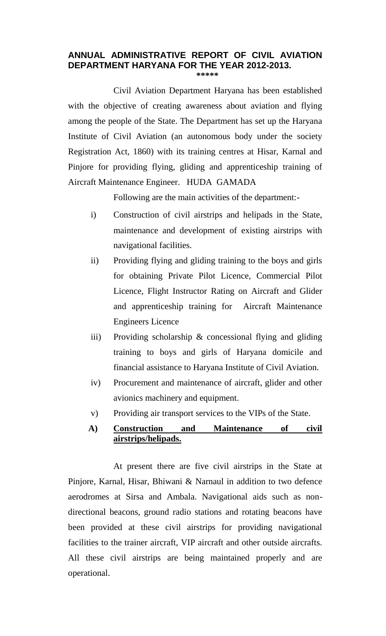# **ANNUAL ADMINISTRATIVE REPORT OF CIVIL AVIATION DEPARTMENT HARYANA FOR THE YEAR 2012-2013.**

**\*\*\*\*\*** 

 with the objective of creating awareness about aviation and flying among the people of the State. The Department has set up the Haryana Institute of Civil Aviation (an autonomous body under the society Registration Act, 1860) with its training centres at Hisar, Karnal and Pinjore for providing flying, gliding and apprenticeship training of Aircraft Maintenance Engineer. HUDA GAMADA Civil Aviation Department Haryana has been established

Following are the main activities of the department:-

- i) Construction of civil airstrips and helipads in the State, maintenance and development of existing airstrips with navigational facilities.
- ii) Providing flying and gliding training to the boys and girls for obtaining Private Pilot Licence, Commercial Pilot Licence, Flight Instructor Rating on Aircraft and Glider and apprenticeship training for Aircraft Maintenance Engineers Licence
- iii) Providing scholarship  $\&$  concessional flying and gliding training to boys and girls of Haryana domicile and financial assistance to Haryana Institute of Civil Aviation.
- iv) Procurement and maintenance of aircraft, glider and other avionics machinery and equipment.
- v) Providing air transport services to the VIPs of the State.

## **A) Construction and Maintenance of civil airstrips/helipads.**

 Pinjore, Karnal, Hisar, Bhiwani & Narnaul in addition to two defence aerodromes at Sirsa and Ambala. Navigational aids such as non- directional beacons, ground radio stations and rotating beacons have been provided at these civil airstrips for providing navigational facilities to the trainer aircraft, VIP aircraft and other outside aircrafts. All these civil airstrips are being maintained properly and are At present there are five civil airstrips in the State at operational.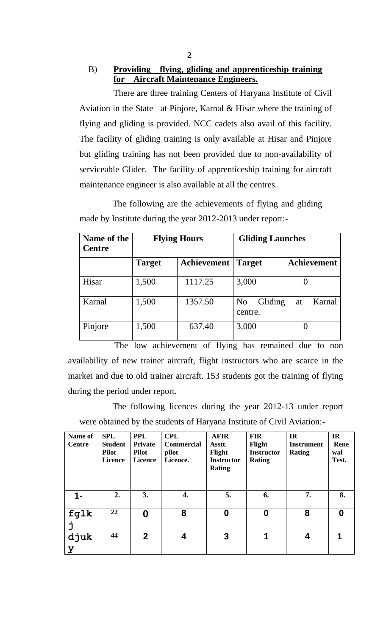There are three training Centers of Haryana Institute of Civil Aviation in the State at Pinjore, Karnal & Hisar where the training of flying and gliding is provided. NCC cadets also avail of this facility. The facility of gliding training is only available at Hisar and Pinjore but gliding training has not been provided due to non-availability of serviceable Glider. The facility of apprenticeship training for aircraft maintenance engineer is also available at all the centres.

The following are the achievements of flying and gliding made by Institute during the year 2012-2013 under report:-

| Name of the<br><b>Centre</b> | <b>Flying Hours</b> |             | <b>Gliding Launches</b>              |                    |
|------------------------------|---------------------|-------------|--------------------------------------|--------------------|
|                              | <b>Target</b>       | Achievement | <b>Target</b>                        | <b>Achievement</b> |
| Hisar                        | 1,500               | 1117.25     | 3,000                                |                    |
| Karnal                       | 1,500               | 1357.50     | Gliding<br>N <sub>o</sub><br>centre. | Karnal<br>at       |
| Pinjore                      | 1,500               | 637.40      | 3,000                                |                    |

 availability of new trainer aircraft, flight instructors who are scarce in the market and due to old trainer aircraft. 153 students got the training of flying during the period under report. The low achievement of flying has remained due to non

 were obtained by the students of Haryana Institute of Civil Aviation:- The following licences during the year 2012-13 under report

| Name of<br><b>Centre</b> | <b>SPL</b><br><b>Student</b><br><b>Pilot</b><br>Licence | <b>PPL</b><br><b>Private</b><br><b>Pilot</b><br><b>Licence</b> | <b>CPL</b><br><b>Commercial</b><br>pilot<br>Licence. | <b>AFIR</b><br>Asstt.<br>Flight<br><b>Instructor</b><br><b>Rating</b> | <b>FIR</b><br>Flight<br><b>Instructor</b><br><b>Rating</b> | IR<br><b>Instrument</b><br><b>Rating</b> | IR<br>Rene<br>wal<br>Test. |
|--------------------------|---------------------------------------------------------|----------------------------------------------------------------|------------------------------------------------------|-----------------------------------------------------------------------|------------------------------------------------------------|------------------------------------------|----------------------------|
| 1-                       | 2.                                                      | 3.                                                             | 4.                                                   | 5.                                                                    | 6.                                                         | 7.                                       | 8.                         |
| fglk                     | 22                                                      | 0                                                              | 8                                                    | $\boldsymbol{0}$                                                      | 0                                                          | 8                                        | $\bf{0}$                   |
| djuk<br>У                | 44                                                      | $\overline{2}$                                                 | 4                                                    | 3                                                                     | 1                                                          | $\boldsymbol{4}$                         |                            |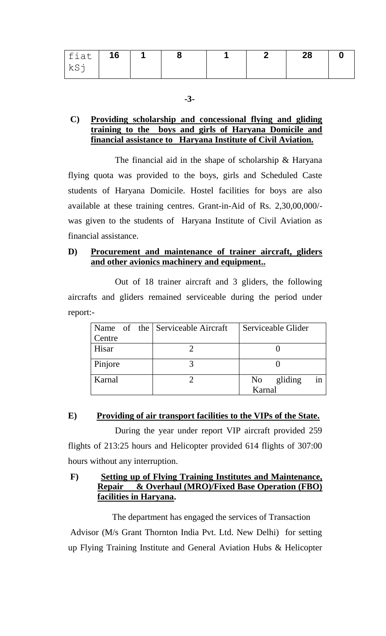| fiat | 16 |  |  | 28 |  |
|------|----|--|--|----|--|
| kSj  |    |  |  |    |  |

**-3-**

#### **C**)  **training to the boys and girls of Haryana Domicile and financial assistance to Haryana Institute of Civil Aviation. Providing scholarship and concessional flying and gliding**

 flying quota was provided to the boys, girls and Scheduled Caste students of Haryana Domicile. Hostel facilities for boys are also was given to the students of Haryana Institute of Civil Aviation as The financial aid in the shape of scholarship  $&$  Haryana available at these training centres. Grant-in-Aid of Rs. 2,30,00,000/ financial assistance.

## **D) Procurement and maintenance of trainer aircraft, gliders and other avionics machinery and equipment..**

 aircrafts and gliders remained serviceable during the period under Out of 18 trainer aircraft and 3 gliders, the following report:-

|         | Name of the Serviceable Aircraft | Serviceable Glider    |
|---------|----------------------------------|-----------------------|
| Centre  |                                  |                       |
| Hisar   |                                  |                       |
|         |                                  |                       |
| Pinjore |                                  |                       |
| Karnal  |                                  | in<br>gliding<br>No 1 |
|         |                                  | Karnal                |

## **E) Providing of air transport facilities to the VIPs of the State.**

 flights of 213:25 hours and Helicopter provided 614 flights of 307:00 During the year under report VIP aircraft provided 259 hours without any interruption.

#### $\bf{F}$ **F) Setting up of Flying Training Institutes and Maintenance, Repair & Overhaul (MRO)/Fixed Base Operation (FBO) facilities in Haryana.**

 Advisor (M/s Grant Thornton India Pvt. Ltd. New Delhi) for setting up Flying Training Institute and General Aviation Hubs & Helicopter The department has engaged the services of Transaction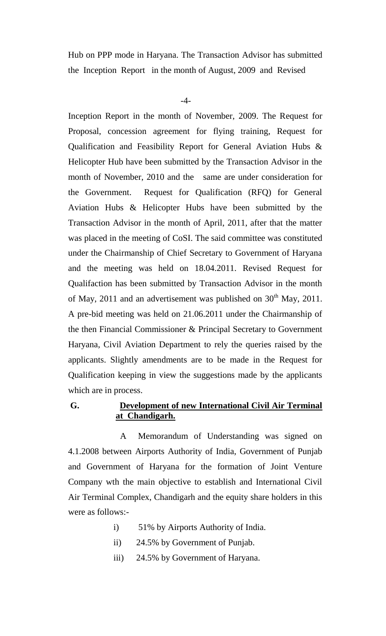Hub on PPP mode in Haryana. The Transaction Advisor has submitted the Inception Report in the month of August, 2009 and Revised

 $-4-$ 

 Inception Report in the month of November, 2009. The Request for Proposal, concession agreement for flying training, Request for Qualification and Feasibility Report for General Aviation Hubs & Helicopter Hub have been submitted by the Transaction Advisor in the month of November, 2010 and the same are under consideration for Aviation Hubs & Helicopter Hubs have been submitted by the Transaction Advisor in the month of April, 2011, after that the matter was placed in the meeting of CoSI. The said committee was constituted under the Chairmanship of Chief Secretary to Government of Haryana and the meeting was held on 18.04.2011. Revised Request for Qualifaction has been submitted by Transaction Advisor in the month of May, 2011 and an advertisement was published on  $30<sup>th</sup>$  May, 2011. A pre-bid meeting was held on 21.06.2011 under the Chairmanship of the then Financial Commissioner & Principal Secretary to Government Haryana, Civil Aviation Department to rely the queries raised by the applicants. Slightly amendments are to be made in the Request for Qualification keeping in view the suggestions made by the applicants which are in process. the Government. Request for Qualification (RFQ) for General

#### G. **G. Development of new International Civil Air Terminal at Chandigarh.**

 4.1.2008 between Airports Authority of India, Government of Punjab and Government of Haryana for the formation of Joint Venture Company wth the main objective to establish and International Civil Air Terminal Complex, Chandigarh and the equity share holders in this were as follows:- A Memorandum of Understanding was signed on

- i) 51% by Airports Authority of India.
- ii) 24.5% by Government of Punjab.
- iii) 24.5% by Government of Haryana.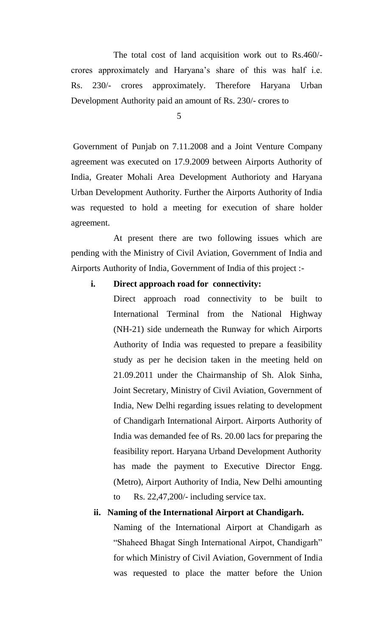crores approximately and Haryana's share of this was half i.e.  $230/-$ Development Authority paid an amount of Rs. 230/- crores to 5 The total cost of land acquisition work out to Rs.460/- Rs. 230/- crores approximately. Therefore Haryana Urban

 Government of Punjab on 7.11.2008 and a Joint Venture Company agreement was executed on 17.9.2009 between Airports Authority of India, Greater Mohali Area Development Authorioty and Haryana Urban Development Authority. Further the Airports Authority of India was requested to hold a meeting for execution of share holder agreement.

 pending with the Ministry of Civil Aviation, Government of India and Airports Authority of India, Government of India of this project :- At present there are two following issues which are

### **i. Direct approach road for connectivity:**

 Direct approach road connectivity to be built to International Terminal from the National Highway (NH-21) side underneath the Runway for which Airports Authority of India was requested to prepare a feasibility study as per he decision taken in the meeting held on 21.09.2011 under the Chairmanship of Sh. Alok Sinha, Joint Secretary, Ministry of Civil Aviation, Government of India, New Delhi regarding issues relating to development of Chandigarh International Airport. Airports Authority of feasibility report. Haryana Urband Development Authority feasibility report. Haryana Urband Development Authority has made the payment to Executive Director Engg. (Metro), Airport Authority of India, New Delhi amounting to India was demanded fee of Rs. 20.00 lacs for preparing the Rs.  $22,47,200/$ - including service tax.

### **ii. Naming of the International Airport at Chandigarh.**

 Naming of the International Airport at Chandigarh as "Shaheed Bhagat Singh International Airpot, Chandigarh" for which Ministry of Civil Aviation, Government of India was requested to place the matter before the Union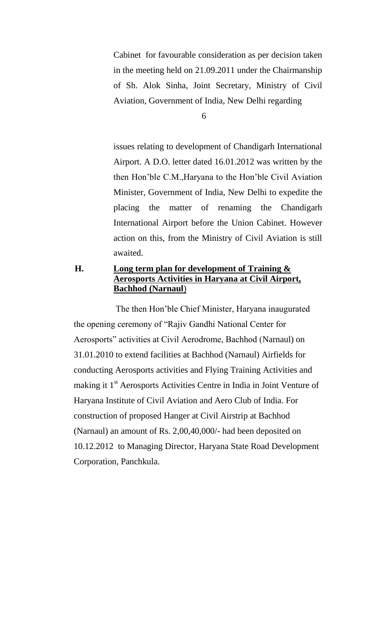Cabinet for favourable consideration as per decision taken in the meeting held on 21.09.2011 under the Chairmanship of Sh. Alok Sinha, Joint Secretary, Ministry of Civil Aviation, Government of India, New Delhi regarding<br>6

 issues relating to development of Chandigarh International Airport. A D.O. letter dated 16.01.2012 was written by the then Hon'ble C.M.,Haryana to the Hon'ble Civil Aviation Minister, Government of India, New Delhi to expedite the International Airport before the Union Cabinet. However action on this, from the Ministry of Civil Aviation is still placing the matter of renaming the Chandigarh awaited.

## **H. Long term plan for development of Training & Aerosports Activities in Haryana at Civil Airport, Bachhod (Narnaul**)

 conducting Aerosports activities and Flying Training Activities and making it 1<sup>st</sup> Aerosports Activities Centre in India in Joint Venture of (Narnaul) an amount of Rs. 2,00,40,000/- had been deposited on 10.12.2012 to Managing Director, Haryana State Road Development The then Hon'ble Chief Minister, Haryana inaugurated the opening ceremony of "Rajiv Gandhi National Center for Aerosports" activities at Civil Aerodrome, Bachhod (Narnaul) on 31.01.2010 to extend facilities at Bachhod (Narnaul) Airfields for Haryana Institute of Civil Aviation and Aero Club of India. For construction of proposed Hanger at Civil Airstrip at Bachhod Corporation, Panchkula.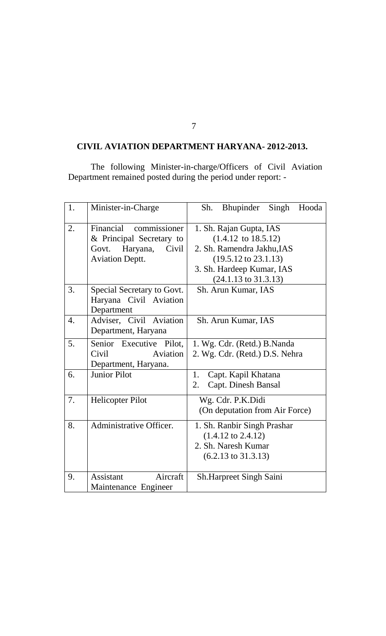### **CIVIL AVIATION DEPARTMENT HARYANA- 2012-2013.**

The following Minister-in-charge/Officers of Civil Aviation Department remained posted during the period under report: -

| 1. | Minister-in-Charge                                                                                      | Bhupinder Singh Hooda<br>Sh.                                                                                                                                                               |
|----|---------------------------------------------------------------------------------------------------------|--------------------------------------------------------------------------------------------------------------------------------------------------------------------------------------------|
| 2. | Financial commissioner<br>& Principal Secretary to<br>Govt. Haryana,<br>Civil<br><b>Aviation Deptt.</b> | 1. Sh. Rajan Gupta, IAS<br>$(1.4.12 \text{ to } 18.5.12)$<br>2. Sh. Ramendra Jakhu, IAS<br>$(19.5.12 \text{ to } 23.1.13)$<br>3. Sh. Hardeep Kumar, IAS<br>$(24.1.13 \text{ to } 31.3.13)$ |
| 3. | Special Secretary to Govt.<br>Haryana Civil Aviation<br>Department                                      | Sh. Arun Kumar, IAS                                                                                                                                                                        |
| 4. | Adviser, Civil Aviation<br>Department, Haryana                                                          | Sh. Arun Kumar, IAS                                                                                                                                                                        |
| 5. | Senior Executive Pilot,<br>Civil<br>Aviation<br>Department, Haryana.                                    | 1. Wg. Cdr. (Retd.) B. Nanda<br>2. Wg. Cdr. (Retd.) D.S. Nehra                                                                                                                             |
| 6. | <b>Junior Pilot</b>                                                                                     | 1.<br>Capt. Kapil Khatana<br><b>Capt. Dinesh Bansal</b><br>2.                                                                                                                              |
| 7. | <b>Helicopter Pilot</b>                                                                                 | Wg. Cdr. P.K.Didi<br>(On deputation from Air Force)                                                                                                                                        |
| 8. | Administrative Officer.                                                                                 | 1. Sh. Ranbir Singh Prashar<br>$(1.4.12 \text{ to } 2.4.12)$<br>2. Sh. Naresh Kumar<br>$(6.2.13 \text{ to } 31.3.13)$                                                                      |
| 9. | Aircraft<br>Assistant<br>Maintenance Engineer                                                           | <b>Sh.Harpreet Singh Saini</b>                                                                                                                                                             |

7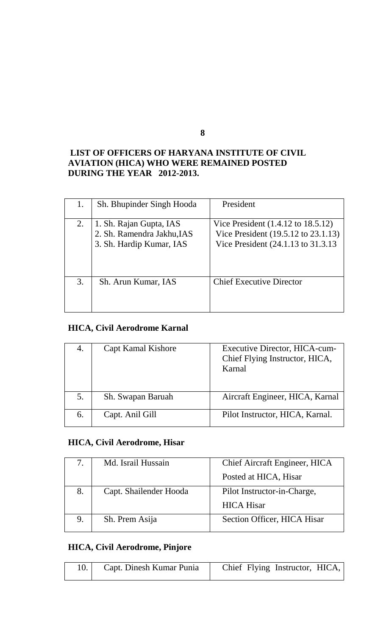## **DURING THE YEAR 2012-2013. LIST OF OFFICERS OF HARYANA INSTITUTE OF CIVIL AVIATION (HICA) WHO WERE REMAINED POSTED**

|    | Sh. Bhupinder Singh Hooda                                                         | President                                                                                                                   |
|----|-----------------------------------------------------------------------------------|-----------------------------------------------------------------------------------------------------------------------------|
| 2. | 1. Sh. Rajan Gupta, IAS<br>2. Sh. Ramendra Jakhu, IAS<br>3. Sh. Hardip Kumar, IAS | Vice President $(1.4.12 \text{ to } 18.5.12)$<br>Vice President (19.5.12 to 23.1.13)<br>Vice President (24.1.13 to 31.3.13) |
| 3. | Sh. Arun Kumar, IAS                                                               | <b>Chief Executive Director</b>                                                                                             |

# **HICA, Civil Aerodrome Karnal**

| 4. | Capt Kamal Kishore | Executive Director, HICA-cum-<br>Chief Flying Instructor, HICA,<br>Karnal |
|----|--------------------|---------------------------------------------------------------------------|
|    | Sh. Swapan Baruah  | Aircraft Engineer, HICA, Karnal                                           |
| 6. | Capt. Anil Gill    | Pilot Instructor, HICA, Karnal.                                           |

# **HICA, Civil Aerodrome, Hisar**

|    | Md. Israil Hussain     | Chief Aircraft Engineer, HICA |
|----|------------------------|-------------------------------|
|    |                        | Posted at HICA, Hisar         |
| 8. | Capt. Shailender Hooda | Pilot Instructor-in-Charge,   |
|    |                        | <b>HICA Hisar</b>             |
|    | Sh. Prem Asija         | Section Officer, HICA Hisar   |

# **HICA, Civil Aerodrome, Pinjore**

|  | Capt. Dinesh Kumar Punia | Chief Flying Instructor, HICA, |
|--|--------------------------|--------------------------------|
|--|--------------------------|--------------------------------|

**8**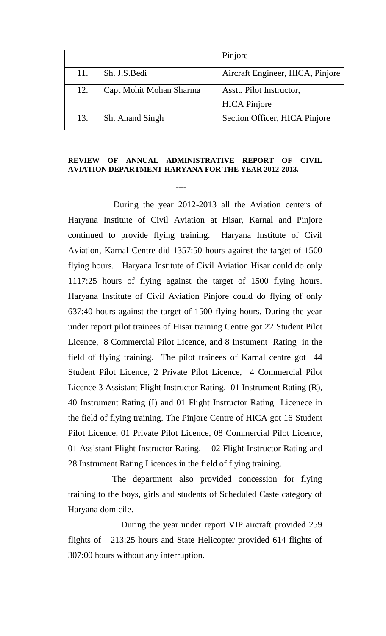|     |                         | Pinjore                          |
|-----|-------------------------|----------------------------------|
| 11. | Sh. J.S. Bedi           | Aircraft Engineer, HICA, Pinjore |
| 12. | Capt Mohit Mohan Sharma | Asstt. Pilot Instructor,         |
|     |                         | <b>HICA</b> Pinjore              |
| 13. | Sh. Anand Singh         | Section Officer, HICA Pinjore    |

#### **REVIEW OF ANNUAL ADMINISTRATIVE REPORT OF CIVIL AVIATION DEPARTMENT HARYANA FOR THE YEAR 2012-2013.**

**----**

 During the year 2012-2013 all the Aviation centers of Haryana Institute of Civil Aviation at Hisar, Karnal and Pinjore continued to provide flying training. Haryana Institute of Civil Aviation, Karnal Centre did 1357:50 hours against the target of 1500 flying hours. Haryana Institute of Civil Aviation Hisar could do only 1117:25 hours of flying against the target of 1500 flying hours. Haryana Institute of Civil Aviation Pinjore could do flying of only 637:40 hours against the target of 1500 flying hours. During the year under report pilot trainees of Hisar training Centre got 22 Student Pilot Licence, 8 Commercial Pilot Licence, and 8 Instument Rating in the field of flying training. The pilot trainees of Karnal centre got 44 Student Pilot Licence, 2 Private Pilot Licence, 4 Commercial Pilot Licence 3 Assistant Flight Instructor Rating, 01 Instrument Rating (R), 40 Instrument Rating (I) and 01 Flight Instructor Rating Licenece in the field of flying training. The Pinjore Centre of HICA got 16 Student Pilot Licence, 01 Private Pilot Licence, 08 Commercial Pilot Licence, 01 Assistant Flight Instructor Rating, 02 Flight Instructor Rating and 28 Instrument Rating Licences in the field of flying training.

 training to the boys, girls and students of Scheduled Caste category of Haryana domicile. The department also provided concession for flying

flights of 307:00 hours without any interruption. During the year under report VIP aircraft provided 259 213:25 hours and State Helicopter provided 614 flights of